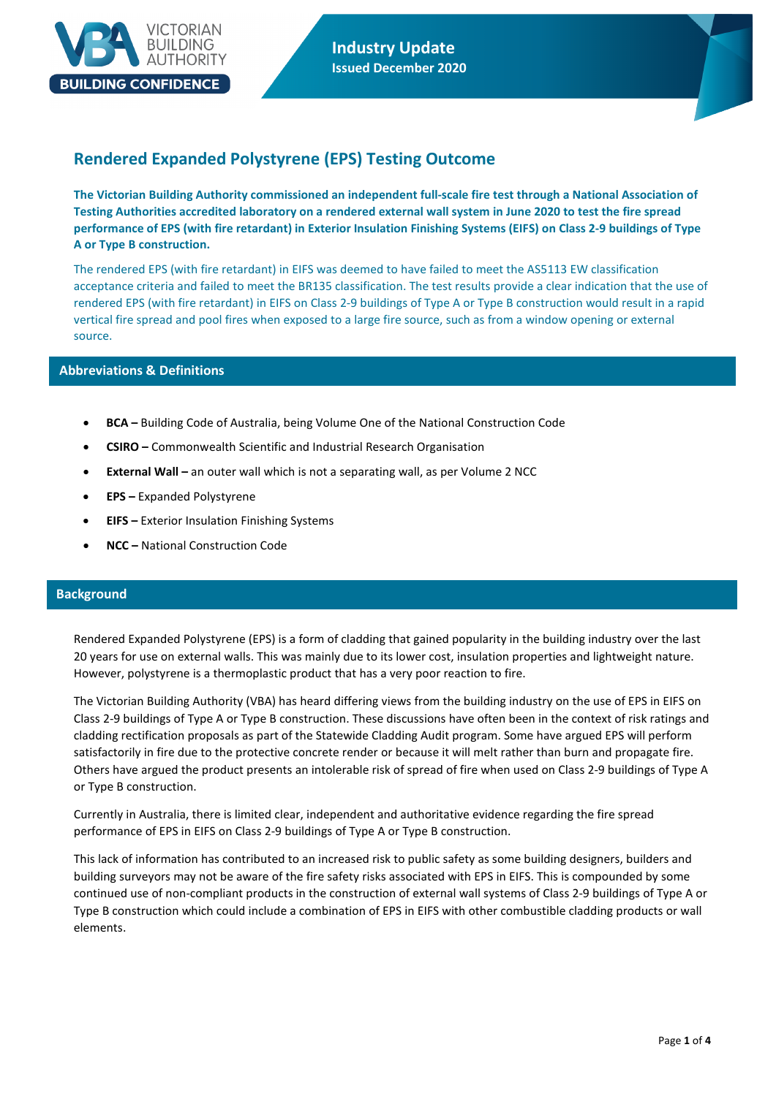

# **Rendered Expanded Polystyrene (EPS) Testing Outcome**

**The Victorian Building Authority commissioned an independent full-scale fire test through a National Association of Testing Authorities accredited laboratory on a rendered external wall system in June 2020 to test the fire spread performance of EPS (with fire retardant) in Exterior Insulation Finishing Systems (EIFS) on Class 2-9 buildings of Type A or Type B construction.**

The rendered EPS (with fire retardant) in EIFS was deemed to have failed to meet the AS5113 EW classification acceptance criteria and failed to meet the BR135 classification. The test results provide a clear indication that the use of rendered EPS (with fire retardant) in EIFS on Class 2-9 buildings of Type A or Type B construction would result in a rapid vertical fire spread and pool fires when exposed to a large fire source, such as from a window opening or external source.

### **Abbreviations & Definitions**

- **BCA –** Building Code of Australia, being Volume One of the National Construction Code
- **CSIRO –** Commonwealth Scientific and Industrial Research Organisation
- **External Wall –** an outer wall which is not a separating wall, as per Volume 2 NCC
- **EPS –** Expanded Polystyrene
- **EIFS –** Exterior Insulation Finishing Systems
- **NCC –** National Construction Code

### **Background**

Rendered Expanded Polystyrene (EPS) is a form of cladding that gained popularity in the building industry over the last 20 years for use on external walls. This was mainly due to its lower cost, insulation properties and lightweight nature. However, polystyrene is a thermoplastic product that has a very poor reaction to fire.

The Victorian Building Authority (VBA) has heard differing views from the building industry on the use of EPS in EIFS on Class 2-9 buildings of Type A or Type B construction. These discussions have often been in the context of risk ratings and cladding rectification proposals as part of the Statewide Cladding Audit program. Some have argued EPS will perform satisfactorily in fire due to the protective concrete render or because it will melt rather than burn and propagate fire. Others have argued the product presents an intolerable risk of spread of fire when used on Class 2-9 buildings of Type A or Type B construction.

Currently in Australia, there is limited clear, independent and authoritative evidence regarding the fire spread performance of EPS in EIFS on Class 2-9 buildings of Type A or Type B construction.

This lack of information has contributed to an increased risk to public safety as some building designers, builders and building surveyors may not be aware of the fire safety risks associated with EPS in EIFS. This is compounded by some continued use of non-compliant products in the construction of external wall systems of Class 2-9 buildings of Type A or Type B construction which could include a combination of EPS in EIFS with other combustible cladding products or wall elements.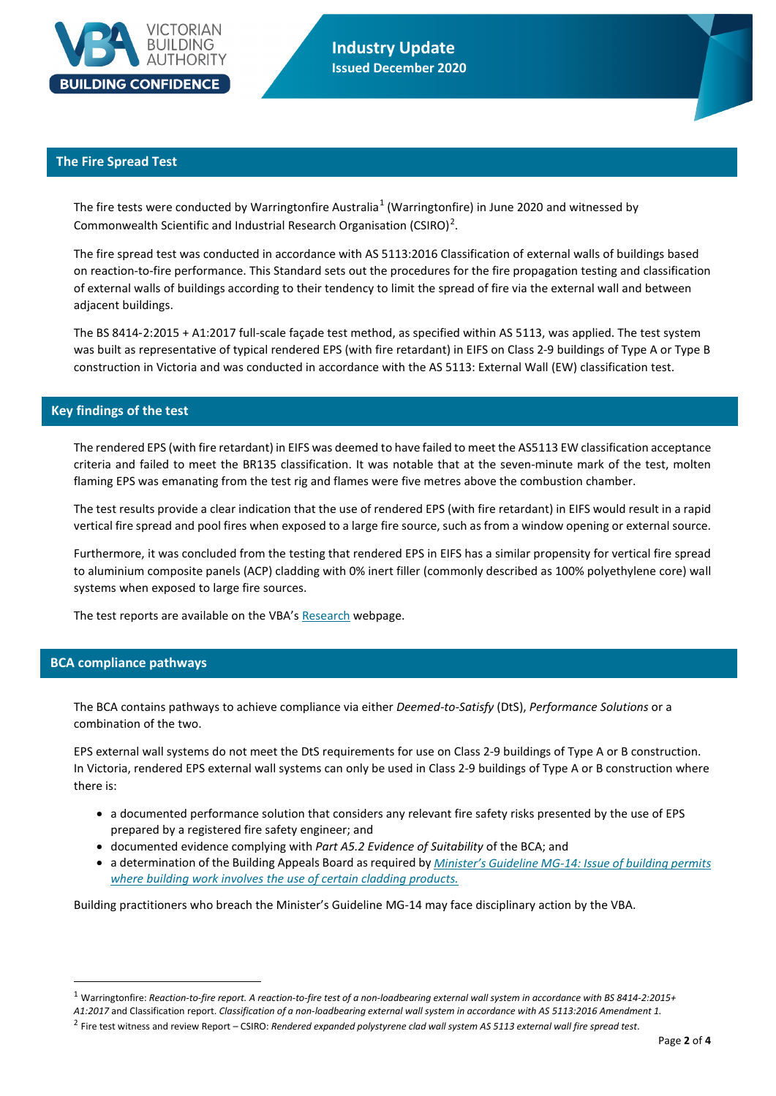

**Industry Update Issued December 2020**

### **The Fire Spread Test**

The fire tests were conducted by Warringtonfire Australia<sup>[1](#page-1-0)</sup> (Warringtonfire) in June 2020 and witnessed by Commonwealth Scientific and Industrial Research Organisation (CSIRO)<sup>[2](#page-1-1)</sup>.

The fire spread test was conducted in accordance with AS 5113:2016 Classification of external walls of buildings based on reaction-to-fire performance. This Standard sets out the procedures for the fire propagation testing and classification of external walls of buildings according to their tendency to limit the spread of fire via the external wall and between adjacent buildings.

The BS 8414‑2:2015 + A1:2017 full-scale façade test method, as specified within AS 5113, was applied. The test system was built as representative of typical rendered EPS (with fire retardant) in EIFS on Class 2-9 buildings of Type A or Type B construction in Victoria and was conducted in accordance with the AS 5113: External Wall (EW) classification test.

### **Key findings of the test**

The rendered EPS (with fire retardant) in EIFS was deemed to have failed to meet the AS5113 EW classification acceptance criteria and failed to meet the BR135 classification. It was notable that at the seven-minute mark of the test, molten flaming EPS was emanating from the test rig and flames were five metres above the combustion chamber.

The test results provide a clear indication that the use of rendered EPS (with fire retardant) in EIFS would result in a rapid vertical fire spread and pool fires when exposed to a large fire source, such as from a window opening or external source.

Furthermore, it was concluded from the testing that rendered EPS in EIFS has a similar propensity for vertical fire spread to aluminium composite panels (ACP) cladding with 0% inert filler (commonly described as 100% polyethylene core) wall systems when exposed to large fire sources.

The test reports are available on the VBA's [Research](https://www.vba.vic.gov.au/about/research) webpage.

### **BCA compliance pathways**

The BCA contains pathways to achieve compliance via either *Deemed-to-Satisfy* (DtS), *Performance Solutions* or a combination of the two.

EPS external wall systems do not meet the DtS requirements for use on Class 2-9 buildings of Type A or B construction. In Victoria, rendered EPS external wall systems can only be used in Class 2-9 buildings of Type A or B construction where there is:

- a documented performance solution that considers any relevant fire safety risks presented by the use of EPS prepared by a registered fire safety engineer; and
- documented evidence complying with *Part A5.2 Evidence of Suitability* of the BCA; and
- a determination of the Building Appeals Board as required by *[Minister's Guideline MG-14:](https://www.vba.vic.gov.au/?a=102904) Issue of building permits [where building work involves the use of certain cladding products.](https://www.vba.vic.gov.au/?a=102904)*

Building practitioners who breach the Minister's Guideline MG-14 may face disciplinary action by the VBA.

<span id="page-1-0"></span><sup>1</sup> Warringtonfire: *Reaction-to-fire report. A reaction-to-fire test of a non-loadbearing external wall system in accordance with BS 8414-2:2015+* 

*A1:2017* and Classification report. *Classification of a non-loadbearing external wall system in accordance with AS 5113:2016 Amendment 1.*

<span id="page-1-1"></span><sup>2</sup> Fire test witness and review Report – CSIRO: *Rendered expanded polystyrene clad wall system AS 5113 external wall fire spread test*.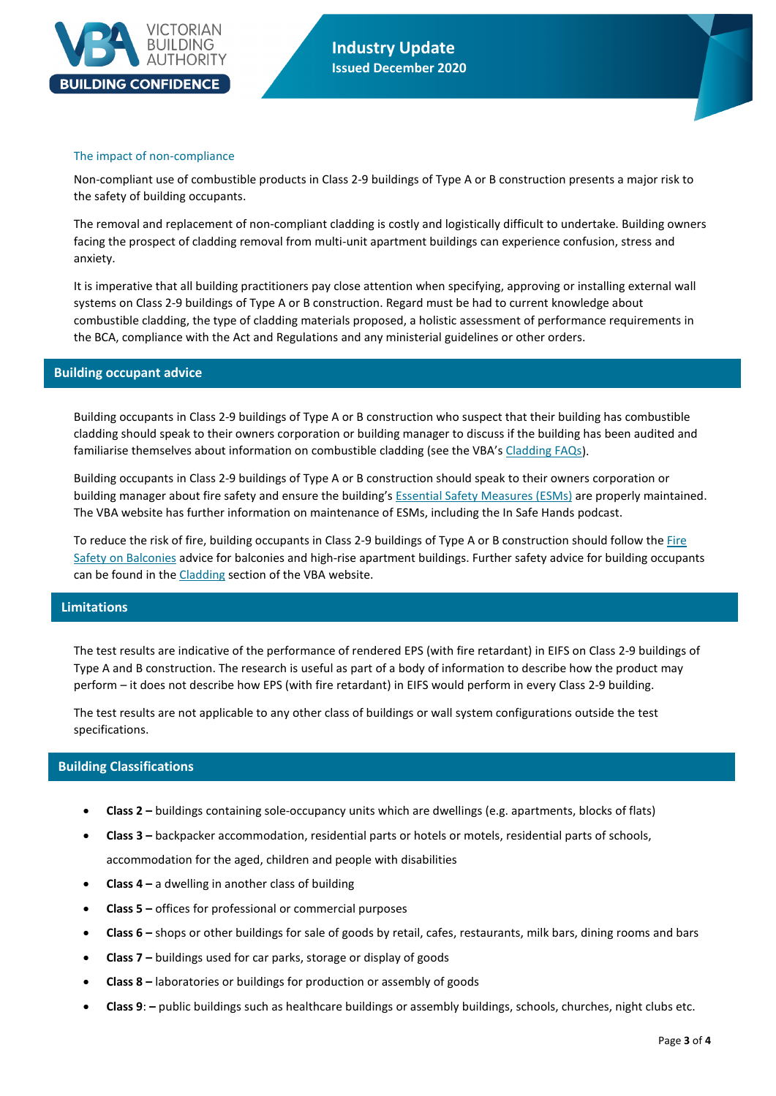

**Industry Update Issued December 2020**

#### The impact of non-compliance

Non-compliant use of combustible products in Class 2-9 buildings of Type A or B construction presents a major risk to the safety of building occupants.

The removal and replacement of non-compliant cladding is costly and logistically difficult to undertake. Building owners facing the prospect of cladding removal from multi-unit apartment buildings can experience confusion, stress and anxiety.

It is imperative that all building practitioners pay close attention when specifying, approving or installing external wall systems on Class 2-9 buildings of Type A or B construction. Regard must be had to current knowledge about combustible cladding, the type of cladding materials proposed, a holistic assessment of performance requirements in the BCA, compliance with the Act and Regulations and any ministerial guidelines or other orders.

#### **Building occupant advice**

Building occupants in Class 2-9 buildings of Type A or B construction who suspect that their building has combustible cladding should speak to their owners corporation or building manager to discuss if the building has been audited and familiarise themselves about information on combustible cladding (see the VBA's [Cladding FAQs\)](https://www.vba.vic.gov.au/cladding/faqs).

Building occupants in Class 2-9 buildings of Type A or B construction should speak to their owners corporation or building manager about fire safety and ensure the building'[s Essential Safety Measures \(ESMs\)](https://www.vba.vic.gov.au/consumers/guides/essential-safety-measures) are properly maintained. The VBA website has further information on [maintenance of ESMs,](https://www.vba.vic.gov.au/consumers/guides/essential-safety-measures) including the In Safe Hands podcast.

To reduce the risk of fire, building occupants in Class 2-9 buildings of Type A or B construction should follow the [Fire](https://www.vba.vic.gov.au/__data/assets/pdf_file/0007/97621/fire-safety-on-balconies-MFB.pdf)  [Safety on Balconies](https://www.vba.vic.gov.au/__data/assets/pdf_file/0007/97621/fire-safety-on-balconies-MFB.pdf) advice for balconies and high-rise apartment buildings. Further safety advice for building occupants can be found in th[e Cladding](https://www.vba.vic.gov.au/cladding) section of the VBA website.

### **Limitations**

The test results are indicative of the performance of rendered EPS (with fire retardant) in EIFS on Class 2-9 buildings of Type A and B construction. The research is useful as part of a body of information to describe how the product may perform – it does not describe how EPS (with fire retardant) in EIFS would perform in every Class 2-9 building.

The test results are not applicable to any other class of buildings or wall system configurations outside the test specifications.

### **Building Classifications**

- **Class 2 –** buildings containing sole-occupancy units which are dwellings (e.g. apartments, blocks of flats)
- **Class 3 –** backpacker accommodation, residential parts or hotels or motels, residential parts of schools, accommodation for the aged, children and people with disabilities
- **Class 4 –** a dwelling in another class of building
- **Class 5 –** offices for professional or commercial purposes
- **Class 6 –** shops or other buildings for sale of goods by retail, cafes, restaurants, milk bars, dining rooms and bars
- **Class 7 –** buildings used for car parks, storage or display of goods
- **Class 8 –** laboratories or buildings for production or assembly of goods
- **Class 9**: **–** public buildings such as healthcare buildings or assembly buildings, schools, churches, night clubs etc.